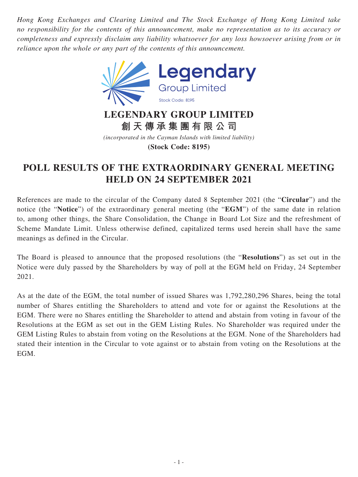*Hong Kong Exchanges and Clearing Limited and The Stock Exchange of Hong Kong Limited take no responsibility for the contents of this announcement, make no representation as to its accuracy or completeness and expressly disclaim any liability whatsoever for any loss howsoever arising from or in reliance upon the whole or any part of the contents of this announcement.*



*(incorporated in the Cayman Islands with limited liability)* **(Stock Code: 8195)**

## **POLL RESULTS OF THE EXTRAORDINARY GENERAL MEETING HELD ON 24 SEPTEMBER 2021**

References are made to the circular of the Company dated 8 September 2021 (the "**Circular**") and the notice (the "**Notice**") of the extraordinary general meeting (the "**EGM**") of the same date in relation to, among other things, the Share Consolidation, the Change in Board Lot Size and the refreshment of Scheme Mandate Limit. Unless otherwise defined, capitalized terms used herein shall have the same meanings as defined in the Circular.

The Board is pleased to announce that the proposed resolutions (the "**Resolutions**") as set out in the Notice were duly passed by the Shareholders by way of poll at the EGM held on Friday, 24 September 2021.

As at the date of the EGM, the total number of issued Shares was 1,792,280,296 Shares, being the total number of Shares entitling the Shareholders to attend and vote for or against the Resolutions at the EGM. There were no Shares entitling the Shareholder to attend and abstain from voting in favour of the Resolutions at the EGM as set out in the GEM Listing Rules. No Shareholder was required under the GEM Listing Rules to abstain from voting on the Resolutions at the EGM. None of the Shareholders had stated their intention in the Circular to vote against or to abstain from voting on the Resolutions at the EGM.